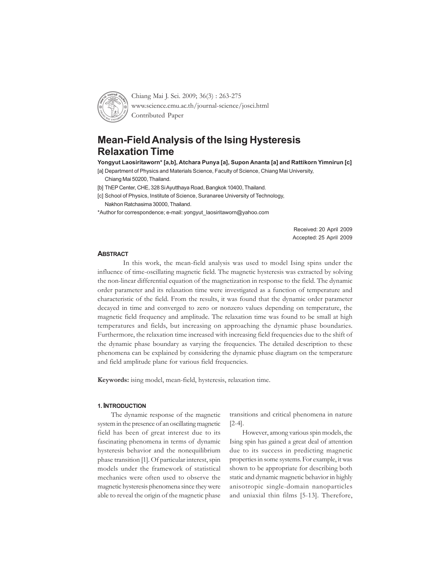

Chiang Mai J. Sci. 2009; 36(3) : 263-275 www.science.cmu.ac.th/journal-science/josci.html Contributed Paper

# **Mean-Field Analysis of the Ising Hysteresis Relaxation Time**

**Yongyut Laosiritaworn\* [a,b], Atchara Punya [a], Supon Ananta [a] and Rattikorn Yimnirun [c]**

[a] Department of Physics and Materials Science, Faculty of Science, Chiang Mai University, Chiang Mai 50200, Thailand.

[b] ThEP Center, CHE, 328 Si Ayutthaya Road, Bangkok 10400, Thailand.

[c] School of Physics, Institute of Science, Suranaree University of Technology, Nakhon Ratchasima 30000, Thailand.

\*Author for correspondence; e-mail: yongyut\_laosiritaworn@yahoo.com

Received: 20 April 2009 Accepted: 25 April 2009

#### **ABSTRACT**

In this work, the mean-field analysis was used to model Ising spins under the influence of time-oscillating magnetic field. The magnetic hysteresis was extracted by solving the non-linear differential equation of the magnetization in response to the field. The dynamic order parameter and its relaxation time were investigated as a function of temperature and characteristic of the field. From the results, it was found that the dynamic order parameter decayed in time and converged to zero or nonzero values depending on temperature, the magnetic field frequency and amplitude. The relaxation time was found to be small at high temperatures and fields, but increasing on approaching the dynamic phase boundaries. Furthermore, the relaxation time increased with increasing field frequencies due to the shift of the dynamic phase boundary as varying the frequencies. The detailed description to these phenomena can be explained by considering the dynamic phase diagram on the temperature and field amplitude plane for various field frequencies.

**Keywords:** ising model, mean-field, hysteresis, relaxation time.

## **1. INTRODUCTION**

The dynamic response of the magnetic system in the presence of an oscillating magnetic field has been of great interest due to its fascinating phenomena in terms of dynamic hysteresis behavior and the nonequilibrium phase transition [1]. Of particular interest, spin models under the framework of statistical mechanics were often used to observe the magnetic hysteresis phenomena since they were able to reveal the origin of the magnetic phase

transitions and critical phenomena in nature [2-4].

However, among various spin models, the Ising spin has gained a great deal of attention due to its success in predicting magnetic properties in some systems. For example, it was shown to be appropriate for describing both static and dynamic magnetic behavior in highly anisotropic single-domain nanoparticles and uniaxial thin films [5-13]. Therefore,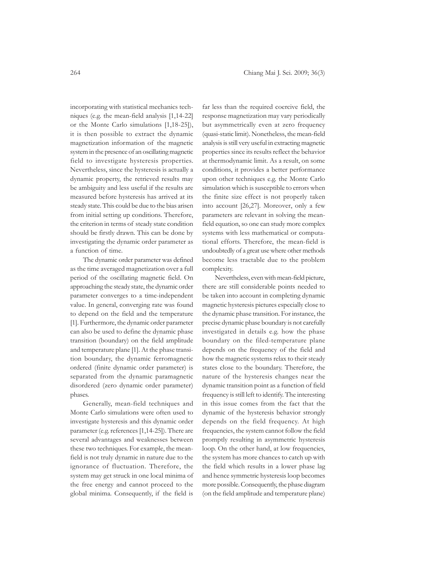incorporating with statistical mechanics techniques (e.g. the mean-field analysis [1,14-22] or the Monte Carlo simulations [1,18-25]), it is then possible to extract the dynamic magnetization information of the magnetic system in the presence of an oscillating magnetic field to investigate hysteresis properties. Nevertheless, since the hysteresis is actually a dynamic property, the retrieved results may be ambiguity and less useful if the results are measured before hysteresis has arrived at its steady state. This could be due to the bias arisen from initial setting up conditions. Therefore, the criterion in terms of steady state condition should be firstly drawn. This can be done by investigating the dynamic order parameter as a function of time.

The dynamic order parameter was defined as the time averaged magnetization over a full period of the oscillating magnetic field. On approaching the steady state, the dynamic order parameter converges to a time-independent value. In general, converging rate was found to depend on the field and the temperature [1]. Furthermore, the dynamic order parameter can also be used to define the dynamic phase transition (boundary) on the field amplitude and temperature plane [1]. At the phase transition boundary, the dynamic ferromagnetic ordered (finite dynamic order parameter) is separated from the dynamic paramagnetic disordered (zero dynamic order parameter) phases.

Generally, mean-field techniques and Monte Carlo simulations were often used to investigate hysteresis and this dynamic order parameter (e.g. references [1,14-25]). There are several advantages and weaknesses between these two techniques. For example, the meanfield is not truly dynamic in nature due to the ignorance of fluctuation. Therefore, the system may get struck in one local minima of the free energy and cannot proceed to the global minima. Consequently, if the field is

far less than the required coercive field, the response magnetization may vary periodically but asymmetrically even at zero frequency (quasi-static limit). Nonetheless, the mean-field analysis is still very useful in extracting magnetic properties since its results reflect the behavior at thermodynamic limit. As a result, on some conditions, it provides a better performance upon other techniques e.g. the Monte Carlo simulation which is susceptible to errors when the finite size effect is not properly taken into account [26,27]. Moreover, only a few parameters are relevant in solving the meanfield equation, so one can study more complex systems with less mathematical or computational efforts. Therefore, the mean-field is undoubtedly of a great use where other methods become less tractable due to the problem complexity.

Nevertheless, even with mean-field picture, there are still considerable points needed to be taken into account in completing dynamic magnetic hysteresis pictures especially close to the dynamic phase transition. For instance, the precise dynamic phase boundary is not carefully investigated in details e.g. how the phase boundary on the filed-temperature plane depends on the frequency of the field and how the magnetic systems relax to their steady states close to the boundary. Therefore, the nature of the hysteresis changes near the dynamic transition point as a function of field frequency is still left to identify. The interesting in this issue comes from the fact that the dynamic of the hysteresis behavior strongly depends on the field frequency. At high frequencies, the system cannot follow the field promptly resulting in asymmetric hysteresis loop. On the other hand, at low frequencies, the system has more chances to catch up with the field which results in a lower phase lag and hence symmetric hysteresis loop becomes more possible. Consequently, the phase diagram (on the field amplitude and temperature plane)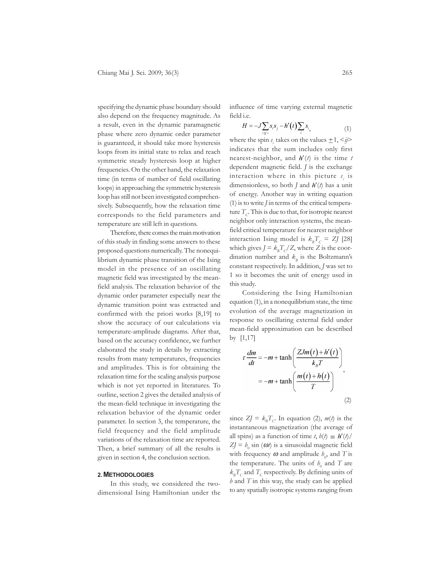specifying the dynamic phase boundary should also depend on the frequency magnitude. As a result, even in the dynamic paramagnetic phase where zero dynamic order parameter is guaranteed, it should take more hysteresis loops from its initial state to relax and reach symmetric steady hysteresis loop at higher frequencies. On the other hand, the relaxation time (in terms of number of field oscillating loops) in approaching the symmetric hysteresis loop has still not been investigated comprehensively. Subsequently, how the relaxation time corresponds to the field parameters and temperature are still left in questions.

Therefore, there comes the main motivation of this study in finding some answers to these proposed questions numerically. The nonequilibrium dynamic phase transition of the Ising model in the presence of an oscillating magnetic field was investigated by the meanfield analysis. The relaxation behavior of the dynamic order parameter especially near the dynamic transition point was extracted and confirmed with the priori works [8,19] to show the accuracy of our calculations via temperature-amplitude diagrams. After that, based on the accuracy confidence, we further elaborated the study in details by extracting results from many temperatures, frequencies and amplitudes. This is for obtaining the relaxation time for the scaling analysis purpose which is not yet reported in literatures. To outline, section 2 gives the detailed analysis of the mean-field technique in investigating the relaxation behavior of the dynamic order parameter. In section 3, the temperature, the field frequency and the field amplitude variations of the relaxation time are reported. Then, a brief summary of all the results is given in section 4, the conclusion section.

## **2. METHODOLOGIES**

In this study, we considered the twodimensional Ising Hamiltonian under the influence of time varying external magnetic field i.e.

$$
H = -J\sum_{\langle ij\rangle} s_i s_j - h'(t) \sum_i s_i,
$$
 (1)

where the spin  $s_i$  takes on the values  $\pm 1, \le j \ge k$ indicates that the sum includes only first nearest-neighbor, and  $h'(t)$  is the time  $t$ dependent magnetic field. *J* is the exchange interaction where in this picture  $s_i$  is dimensionless, so both  $J$  and  $h'(t)$  has a unit of energy. Another way in writing equation (1) is to write *J* in terms of the critical temperature  $T_c$ . This is due to that, for isotropic nearest neighbor only interaction systems, the meanfield critical temperature for nearest neighbor interaction Ising model is  $k_{B}T_{C} = ZJ$  [28] which gives  $J = k_B T_c/Z$ , where *Z* is the coordination number and  $k<sub>B</sub>$  is the Boltzmann's constant respectively. In addition, *J* was set to 1 so it becomes the unit of energy used in this study.

Considering the Ising Hamiltonian equation (1), in a nonequilibrium state, the time evolution of the average magnetization in response to oscillating external field under mean-field approximation can be described by [1,17]

$$
\tau \frac{dm}{dt} = -m + \tanh\left(\frac{ZJm(t) + h'(t)}{k_B T}\right)
$$

$$
= -m + \tanh\left(\frac{m(t) + h(t)}{T}\right)
$$
(2)

since  $ZJ = k_B T_c$ . In equation (2),  $m(t)$  is the instantaneous magnetization (the average of all spins) as a function of time *t*,  $h(t) \equiv h'(t)$  $ZJ = h_0 \sin (\omega t)$  is a sinusoidal magnetic field with frequency  $\omega$  and amplitude  $h_0$ , and T is the temperature. The units of  $h_0$  and  $T$  are  $k_{B}T_{C}$  and  $T_{C}$  respectively. By defining units of *h* and *T* in this way, the study can be applied to any spatially isotropic systems ranging from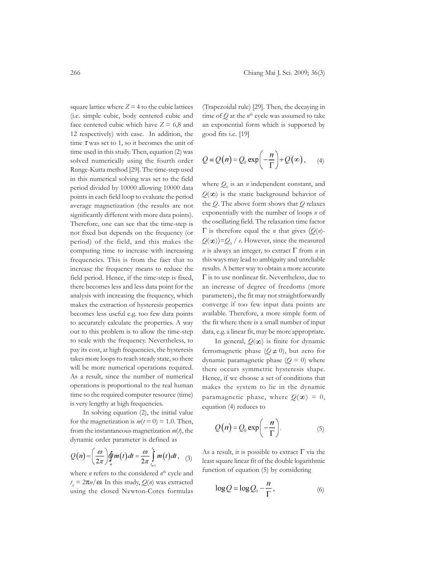square lattice where  $Z = 4$  to the cubic lattices (i.e. simple cubic, body centered cubic and face centered cubic which have  $Z = 6,8$  and 12 respectively) with ease. In addition, the time  $\tau$  was set to 1, so it becomes the unit of time used in this study. Then, equation (2) was solved numerically using the fourth order Runge-Kutta method [29]. The time-step used in this numerical solving was set to the field period divided by 10000 allowing 10000 data points in each field loop to evaluate the period average magnetization (the results are not significantly different with more data points). Therefore, one can see that the time-step is not fixed but depends on the frequency (or period) of the field, and this makes the computing time to increase with increasing frequencies. This is from the fact that to increase the frequency means to reduce the field period. Hence, if the time-step is fixed, there becomes less and less data point for the analysis with increasing the frequency, which makes the extraction of hysteresis properties becomes less useful e.g. too few data points to accurately calculate the properties. A way out to this problem is to allow the time-step to scale with the frequency. Nevertheless, to pay its cost, at high frequencies, the hysteresis takes more loops to reach steady state, so there will be more numerical operations required. As a result, since the number of numerical operations is proportional to the real human time so the required computer resource (time) is very lengthy at high frequencies.

In solving equation (2), the initial value for the magnetization is  $m(t=0) = 1.0$ . Then, from the instantaneous magnetization *m*(*t*), the dynamic order parameter is defined as

$$
Q(n) = \left(\frac{\omega}{2\pi}\right) \oint_{n} m(t) dt = \frac{\omega}{2\pi} \int_{t_{n-1}}^{t_n} m(t) dt, \quad (3)
$$

where *n* refers to the considered  $n^{\text{th}}$  cycle and  $t_{n} = 2\pi n/\omega$ . In this study,  $Q(n)$  was extracted using the closed Newton-Cotes formulas

(Trapezoidal rule) [29]. Then, the decaying in time of  $Q$  at the  $n^{\text{th}}$  cycle was assumed to take an exponential form which is supported by good fits i.e. [19]

$$
Q = Q(n) = Q_0 \exp\left(-\frac{n}{\Gamma}\right) + Q(\infty), \quad (4)
$$

where  $Q_0$  is an *n* independent constant, and  $Q(\infty)$  is the static background behavior of the *Q*. The above form shows that *Q* relaxes exponentially with the number of loops *n* of the oscillating field. The relaxation time factor Γ is therefore equal the *n* that gives (*Q*(*n*)-  $Q(\infty)$ )= $Q_0$  / *e*. However, since the measured *n* is always an integer, to extract Γ from *n* in this ways may lead to ambiguity and unreliable results. A better way to obtain a more accurate Γ is to use nonlinear fit. Nevertheless, due to an increase of degree of freedoms (more parameters), the fit may not straightforwardly converge if too few input data points are available. Therefore, a more simple form of the fit where there is a small number of input data, e.g. a linear fit, may be more appropriate.

In general,  $Q(\infty)$  is finite for dynamic ferromagnetic phase ( $Q \neq 0$ ), but zero for dynamic paramagnetic phase  $(Q = 0)$  where there occurs symmetric hysteresis shape. Hence, if we choose a set of conditions that makes the system to lie in the dynamic paramagnetic phase, where  $Q(\infty) = 0$ , equation (4) reduces to

$$
Q(n) = Q_0 \exp\left(-\frac{n}{\Gamma}\right).
$$
 (5)

As a result, it is possible to extract  $\Gamma$  via the least square linear fit of the double logarithmic function of equation (5) by considering

$$
\log Q = \log Q_0 - \frac{n}{\Gamma},\tag{6}
$$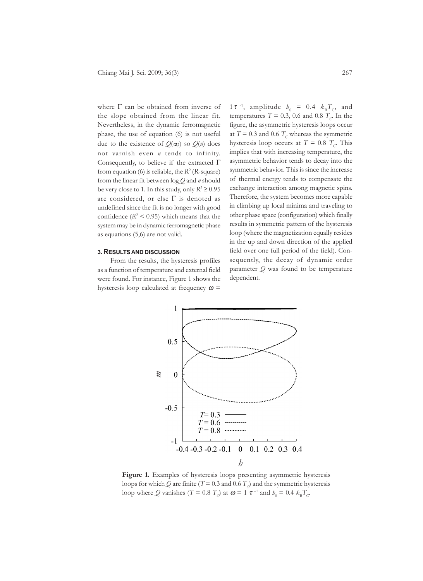where  $\Gamma$  can be obtained from inverse of the slope obtained from the linear fit. Nevertheless, in the dynamic ferromagnetic phase, the use of equation (6) is not useful due to the existence of  $Q(\infty)$  so  $Q(n)$  does not varnish even *n* tends to infinity. Consequently, to believe if the extracted Γ from equation (6) is reliable, the  $R^2$  (*R*-square) from the linear fit between log *Q* and *n* should be very close to 1. In this study, only  $R^2 \ge 0.95$ are considered, or else  $\Gamma$  is denoted as undefined since the fit is no longer with good confidence  $(R^2 < 0.95)$  which means that the system may be in dynamic ferromagnetic phase as equations (5,6) are not valid.

### **3. RESULTS AND DISCUSSION**

From the results, the hysteresis profiles as a function of temperature and external field were found. For instance, Figure 1 shows the hysteresis loop calculated at frequency  $\omega$  =

1 $\tau^{-1}$ , amplitude  $h_0 = 0.4$   $k_B T_c$ , and temperatures  $T = 0.3$ , 0.6 and 0.8  $T_c$ . In the figure, the asymmetric hysteresis loops occur at  $T = 0.3$  and 0.6  $T_c$  whereas the symmetric hysteresis loop occurs at  $T = 0.8$   $T_c$ . This implies that with increasing temperature, the asymmetric behavior tends to decay into the symmetric behavior. This is since the increase of thermal energy tends to compensate the exchange interaction among magnetic spins. Therefore, the system becomes more capable in climbing up local minima and traveling to other phase space (configuration) which finally results in symmetric pattern of the hysteresis loop (where the magnetization equally resides in the up and down direction of the applied field over one full period of the field). Consequently, the decay of dynamic order parameter *Q* was found to be temperature dependent.



**Figure 1.** Examples of hysteresis loops presenting asymmetric hysteresis loops for which *Q* are finite (*T* = 0.3 and 0.6 *T<sub>c</sub>*) and the symmetric hysteresis loop where *Q* vanishes (*T* = 0.8 *T*<sub>*C*</sub>) at  $\omega$  = 1  $\tau$ <sup>-1</sup> and  $b_0 = 0.4$   $k_B T_c$ .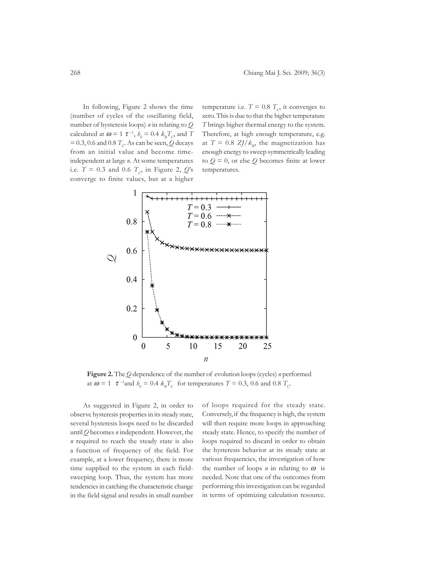In following, Figure 2 shows the time (number of cycles of the oscillating field, number of hysteresis loops) *n* in relating to *Q* calculated at  $\boldsymbol{\omega} = 1 \ \boldsymbol{\tau}^{-1}$ ,  $b_0 = 0.4 \ k_B T_C$ , and T  $= 0.3, 0.6$  and 0.8  $T_c$ . As can be seen, *Q* decays from an initial value and become timeindependent at large *n*. At some temperatures i.e.  $T = 0.3$  and 0.6  $T_c$ , in Figure 2,  $Q$ 's converge to finite values, but at a higher

temperature i.e.  $T = 0.8 T_c$  it converges to zero. This is due to that the higher temperature *T* brings higher thermal energy to the system. Therefore, at high enough temperature, e.g. at  $T = 0.8$  *ZJ*/ $k<sub>B</sub>$ , the magnetization has enough energy to sweep symmetrically leading to  $Q = 0$ , or else  $Q$  becomes finite at lower temperatures.



**Figure 2.** The *Q* dependence of the number of evolution loops (cycles) *n* performed at  $\omega = 1$   $\tau$ <sup>-1</sup>and  $b_0 = 0.4$   $k_B T_C$  for temperatures  $T = 0.3$ , 0.6 and 0.8  $T_C$ 

As suggested in Figure 2, in order to observe hysteresis properties in its steady state, several hysteresis loops need to be discarded until *Q* becomes *n* independent. However, the *n* required to reach the steady state is also a function of frequency of the field. For example, at a lower frequency, there is more time supplied to the system in each fieldsweeping loop. Thus, the system has more tendencies in catching the characteristic change in the field signal and results in small number

of loops required for the steady state. Conversely, if the frequency is high, the system will then require more loops in approaching steady state. Hence, to specify the number of loops required to discard in order to obtain the hysteresis behavior at its steady state at various frequencies, the investigation of how the number of loops  $n$  in relating to  $\omega$  is needed. Note that one of the outcomes from performing this investigation can be regarded in terms of optimizing calculation resource.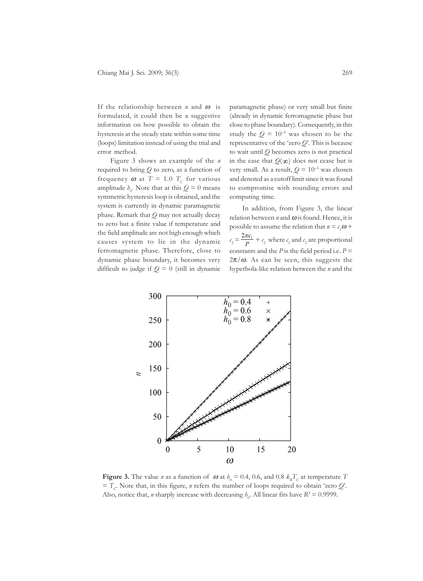If the relationship between *n* and ω is formulated, it could then be a suggestive information on how possible to obtain the hysteresis at the steady state within some time (loops) limitation instead of using the trial and error method.

Figure 3 shows an example of the *n* required to bring *Q* to zero, as a function of frequency  $\omega$  at  $T = 1.0$   $T_c$  for various amplitude  $h_0$ . Note that at this  $Q = 0$  means symmetric hysteresis loop is obtained, and the system is currently in dynamic paramagnetic phase. Remark that *Q* may not actually decay to zero but a finite value if temperature and the field amplitude are not high enough which causes system to lie in the dynamic ferromagnetic phase. Therefore, close to dynamic phase boundary, it becomes very difficult to judge if  $Q = 0$  (still in dynamic

paramagnetic phase) or very small but finite (already in dynamic ferromagnetic phase but close to phase boundary). Consequently, in this study the  $Q = 10^{-5}$  was chosen to be the representative of the 'zero *Q*'. This is because to wait until *Q* becomes zero is not practical in the case that  $Q(\infty)$  does not cease but is very small. As a result,  $Q = 10^{-5}$  was chosen and denoted as a cutoff limit since it was found to compromise with rounding errors and computing time.

In addition, from Figure 3, the linear relation between  $n$  and  $\omega$  is found. Hence, it is possible to assume the relation that  $n = c_1 \omega +$  $c_2 = \frac{2\pi\epsilon_1}{p} + c_2$  where  $c_1$  and  $c_2$  are proportional constants and the *P* is the field period i.e.  $P =$  $2\pi/\omega$ . As can be seen, this suggests the hyperbola-like relation between the *n* and the



**Figure 3.** The value *n* as a function of  $\omega$  at  $b_0 = 0.4$ , 0.6, and 0.8  $k_B T_c$  at temperature *T*  $T_c$ . Note that, in this figure, *n* refers the number of loops required to obtain 'zero *Q*'. Also, notice that, *n* sharply increase with decreasing  $h_0$ . All linear fits have  $R^2 = 0.9999$ .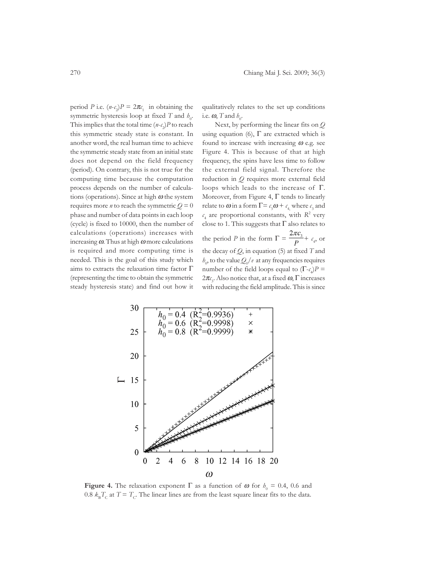period *P* i.e.  $(n-c_2)P = 2\pi c_1$  in obtaining the symmetric hysteresis loop at fixed *T* and  $h_0$ . This implies that the total time  $(n-c_2)P$  to reach this symmetric steady state is constant. In another word, the real human time to achieve the symmetric steady state from an initial state does not depend on the field frequency (period). On contrary, this is not true for the computing time because the computation process depends on the number of calculations (operations). Since at high  $\omega$  the system requires more *n* to reach the symmetric  $Q = 0$ phase and number of data points in each loop (cycle) is fixed to 10000, then the number of calculations (operations) increases with increasing  $\omega$ . Thus at high  $\omega$  more calculations is required and more computing time is needed. This is the goal of this study which aims to extracts the relaxation time factor  $\Gamma$ (representing the time to obtain the symmetric steady hysteresis state) and find out how it qualitatively relates to the set up conditions i.e.  $\omega$ , *T* and  $h_0$ .

Next, by performing the linear fits on *Q* using equation (6),  $\Gamma$  are extracted which is found to increase with increasing  $\omega$  e.g. see Figure 4. This is because of that at high frequency, the spins have less time to follow the external field signal. Therefore the reduction in *Q* requires more external field loops which leads to the increase of Γ. Moreover, from Figure 4,  $\Gamma$  tends to linearly relate to  $\omega$  in a form  $\Gamma = c_3 \omega + c_4$ , where  $c_3$  and  $c_4$  are proportional constants, with  $R^2$  very close to 1. This suggests that  $\Gamma$  also relates to the period *P* in the form  $\Gamma = \frac{m r_s}{p} + c_4$ , or the decay of *Q*, in equation (5) at fixed *T* and  $h_0$ , to the value  $Q_0$  /*e* at any frequencies requires number of the field loops equal to  $(\Gamma - c_4)P =$ 2 $\pi$ <sub>*c*<sub>3</sub></sub>. Also notice that, at a fixed **ω**, Γ increases with reducing the field amplitude. This is since



**Figure 4.** The relaxation exponent  $\Gamma$  as a function of  $\omega$  for  $h_0 = 0.4$ , 0.6 and 0.8  $k_{\rm B}T_{\rm C}$  at  $T = T_{\rm C}$ . The linear lines are from the least square linear fits to the data.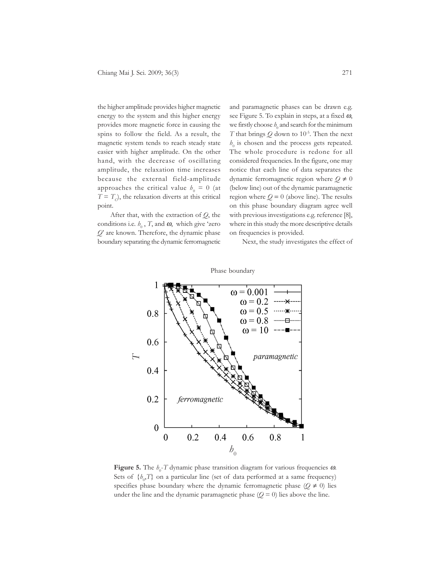the higher amplitude provides higher magnetic energy to the system and this higher energy provides more magnetic force in causing the spins to follow the field. As a result, the magnetic system tends to reach steady state easier with higher amplitude. On the other hand, with the decrease of oscillating amplitude, the relaxation time increases because the external field-amplitude approaches the critical value  $b_0 = 0$  (at  $T = T_c$ ), the relaxation diverts at this critical point.

After that, with the extraction of *Q*, the conditions i.e.  $h_0$ , *T*, and  $\boldsymbol{\omega}$ , which give 'zero *Q*' are known. Therefore, the dynamic phase boundary separating the dynamic ferromagnetic and paramagnetic phases can be drawn e.g. see Figure 5. To explain in steps, at a fixed  $\omega$ , we firstly choose  $h_0$  and search for the minimum *T* that brings  $Q$  down to 10<sup>-5</sup>. Then the next  $h_0$  is chosen and the process gets repeated. The whole procedure is redone for all considered frequencies. In the figure, one may notice that each line of data separates the dynamic ferromagnetic region where *Q* ≠ 0 (below line) out of the dynamic paramagnetic region where  $Q = 0$  (above line). The results on this phase boundary diagram agree well with previous investigations e.g. reference [8], where in this study the more descriptive details on frequencies is provided.

Next, the study investigates the effect of



**Figure 5.** The  $h_0$ -*T* dynamic phase transition diagram for various frequencies  $\omega$ . Sets of  $\{b_{0},T\}$  on a particular line (set of data performed at a same frequency) specifies phase boundary where the dynamic ferromagnetic phase ( $Q \neq 0$ ) lies under the line and the dynamic paramagnetic phase  $(Q = 0)$  lies above the line.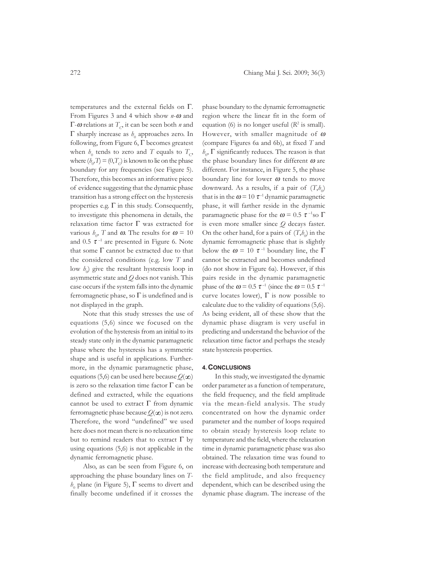temperatures and the external fields on Γ. From Figures 3 and 4 which show *n*-ω and Γ-ω relations at  $T<sub>C</sub>$ , it can be seen both *n* and Γ sharply increase as  $h_0$  approaches zero. In following, from Figure 6,  $\Gamma$  becomes greatest when  $h_0$  tends to zero and T equals to  $T_c$ , where  $(h_0, T) = (0, T_C)$  is known to lie on the phase boundary for any frequencies (see Figure 5). Therefore, this becomes an informative piece of evidence suggesting that the dynamic phase transition has a strong effect on the hysteresis properties e.g.  $\Gamma$  in this study. Consequently, to investigate this phenomena in details, the relaxation time factor Γ was extracted for various  $h_0$ , *T* and  $\omega$ . The results for  $\omega = 10$ and 0.5  $\tau$ <sup>-1</sup> are presented in Figure 6. Note that some  $\Gamma$  cannot be extracted due to that the considered conditions (e.g. low *T* and low  $h_0$  give the resultant hysteresis loop in asymmetric state and *Q* does not vanish. This case occurs if the system falls into the dynamic ferromagnetic phase, so  $\Gamma$  is undefined and is not displayed in the graph.

Note that this study stresses the use of equations (5,6) since we focused on the evolution of the hysteresis from an initial to its steady state only in the dynamic paramagnetic phase where the hysteresis has a symmetric shape and is useful in applications. Furthermore, in the dynamic paramagnetic phase, equations (5,6) can be used here because  $Q(\infty)$ is zero so the relaxation time factor  $\Gamma$  can be defined and extracted, while the equations cannot be used to extract  $\Gamma$  from dynamic ferromagnetic phase because  $Q(\infty)$  is not zero. Therefore, the word "undefined" we used here does not mean there is no relaxation time but to remind readers that to extract  $\Gamma$  by using equations (5,6) is not applicable in the dynamic ferromagnetic phase.

Also, as can be seen from Figure 6, on approaching the phase boundary lines on *T* $h_0$  plane (in Figure 5),  $\Gamma$  seems to divert and finally become undefined if it crosses the

phase boundary to the dynamic ferromagnetic region where the linear fit in the form of equation (6) is no longer useful  $(R^2$  is small). However, with smaller magnitude of  $\omega$ (compare Figures 6a and 6b), at fixed *T* and  $h_0$ ,  $\Gamma$  significantly reduces. The reason is that the phase boundary lines for different  $\omega$  are different. For instance, in Figure 5, the phase boundary line for lower  $\omega$  tends to move downward. As a results, if a pair of  $(T,h_0)$ that is in the  $\omega$  = 10  $\tau$ <sup>-1</sup> dynamic paramagnetic phase, it will farther reside in the dynamic paramagnetic phase for the  $\omega$  = 0.5  $\tau$ <sup>-1</sup>so  $\Gamma$ is even more smaller since *Q* decays faster. On the other hand, for a pairs of  $(T,h_0)$  in the dynamic ferromagnetic phase that is slightly below the  $\omega = 10 \tau^{-1}$  boundary line, the  $\Gamma$ cannot be extracted and becomes undefined (do not show in Figure 6a). However, if this pairs reside in the dynamic paramagnetic phase of the  $\omega$  = 0.5  $\tau$ <sup>-1</sup> (since the  $\omega$  = 0.5  $\tau$ <sup>-1</sup> curve locates lower),  $\Gamma$  is now possible to calculate due to the validity of equations (5,6). As being evident, all of these show that the dynamic phase diagram is very useful in predicting and understand the behavior of the relaxation time factor and perhaps the steady state hysteresis properties.

#### **4. CONCLUSIONS**

In this study, we investigated the dynamic order parameter as a function of temperature, the field frequency, and the field amplitude via the mean-field analysis. The study concentrated on how the dynamic order parameter and the number of loops required to obtain steady hysteresis loop relate to temperature and the field, where the relaxation time in dynamic paramagnetic phase was also obtained. The relaxation time was found to increase with decreasing both temperature and the field amplitude, and also frequency dependent, which can be described using the dynamic phase diagram. The increase of the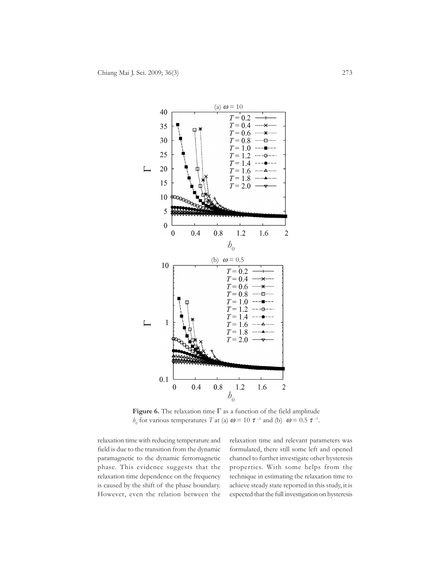

**Figure 6.** The relaxation time Γ as a function of the field amplitude *h*<sub>0</sub> for various temperatures *T* at (a)  $\boldsymbol{\omega} = 10 \tau^{-1}$  and (b)  $\boldsymbol{\omega} = 0.5 \tau^{-1}$ .

relaxation time with reducing temperature and field is due to the transition from the dynamic paramagnetic to the dynamic ferromagnetic phase. This evidence suggests that the relaxation time dependence on the frequency is caused by the shift of the phase boundary. However, even the relation between the

relaxation time and relevant parameters was formulated, there still some left and opened channel to further investigate other hysteresis properties. With some helps from the technique in estimating the relaxation time to achieve steady state reported in this study, it is expected that the full investigation on hysteresis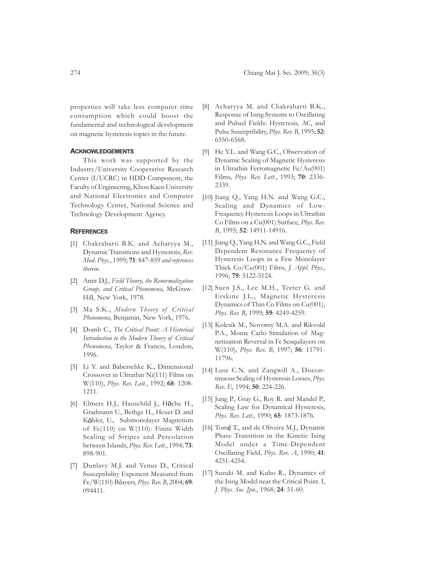properties will take less computer time consumption which could boost the fundamental and technological development on magnetic hysteresis topics in the future.

# **ACKNOWLEDGEMENTS**

This work was supported by the Industry/University Cooperative Research Center (I/UCRC) in HDD Component, the Faculty of Engineering, Khon Kaen University and National Electronics and Computer Technology Center, National Science and Technology Development Agency.

#### **REFERENCES**

- [1] Chakrabarti B.K. and Acharyya M., Dynamic Transitions and Hysteresis, *Rev. Mod. Phys.*, 1999; **71**: 847-859 *and references therein*.
- [2] Amit D.J., *Field Theory, the Renormalization Group, and Critical Phenomena*, McGraw-Hill, New York, 1978.
- [3] Ma S.K., *Modern Theory of Critical Phenomena*, Benjamin, New York, 1976.
- [4] Domb C., *The Critical Point: A Historical Introduction to the Modern Theory of Critical Phenomena*, Taylor & Francis, London, 1996.
- [5] Li Y. and Baberschke K., Dimensional Crossover in Ultrathin Ni(111) Films on W(110), *Phys. Rev. Lett.*, 1992; **68**: 1208- 1211.
- [6] Elmers H.J., Hauschild J., Höche H., Gradmann U., Bethge H., Heuer D. and Köhler, U., Submonolayer Magnetism of Fe(110) on W(110): Finite Width Scaling of Stripes and Percolation between Islands, *Phys. Rev. Lett.*, 1994; **73**: 898-901.
- [7] Dunlavy M.J. and Venus D., Critical Susceptibility Exponent Measured from Fe/W(110) Bilayers, *Phys. Rev. B*, 2004; **69**: 094411.
- [8] Acharyya M. and Chakrabarti B.K., Response of Ising Systems to Oscillating and Pulsed Fields: Hysteresis, AC, and Pulse Susceptibility, *Phys. Rev. B*, 1995; **52**: 6550-6568.
- [9] He Y.L. and Wang G.C., Observation of Dynamic Scaling of Magnetic Hysteresis in Ultrathin Ferromagnetic Fe/Au(001) Films, *Phys. Rev. Lett.*, 1993; **70**: 2336- 2339.
- [10] Jiang Q., Yang H.N. and Wang G.C., Scaling and Dynamics of Low-Frequency Hysteresis Loops in Ultrathin Co Films on a Cu(001) Surface, *Phys. Rev. B*, 1995; **52**: 14911-14916.
- [11] Jiang Q., Yang H.N. and Wang G.C., Field Dependent Resonance Frequency of Hysteresis Loops in a Few Monolayer Thick Co/Cu(001) Films, *J. Appl. Phys.*, 1996; **79**: 5122-5124.
- [12] Suen J.S., Lee M.H., Teeter G. and Erskine J.L., Magnetic Hysteresis Dynamics of Thin Co Films on Cu(001), *Phys. Rev. B*, 1999; **59**: 4249-4259.
- [13] Kolesik M., Novotny M.A. and Rikvold P.A., Monte Carlo Simulation of Magnetization Reversal in Fe Sesquilayers on W(110), *Phys. Rev. B*, 1997; **56**: 11791- 11796.
- [14] Luse C.N. and Zangwill A., Discontinuous Scaling of Hysteresis Losses, *Phys. Rev. E*, 1994; **50**: 224-226.
- [15] Jung P., Gray G., Roy R. and Mandel P., Scaling Law for Dynamical Hysteresis, *Phys. Rev. Lett.*, 1990; **65**: 1873-1876.
- [16] Tomé T., and de Oliveira M.J., Dynamic Phase Transition in the Kinetic Ising Model under a Time-Dependent Oscillating Field, *Phys. Rev. A*, 1990; **41**: 4251-4254.
- [17] Suzuki M. and Kubo R., Dynamics of the Ising Model near the Critical Point. I, *J. Phys. Soc. Jpn.*, 1968; **24**: 51-60.